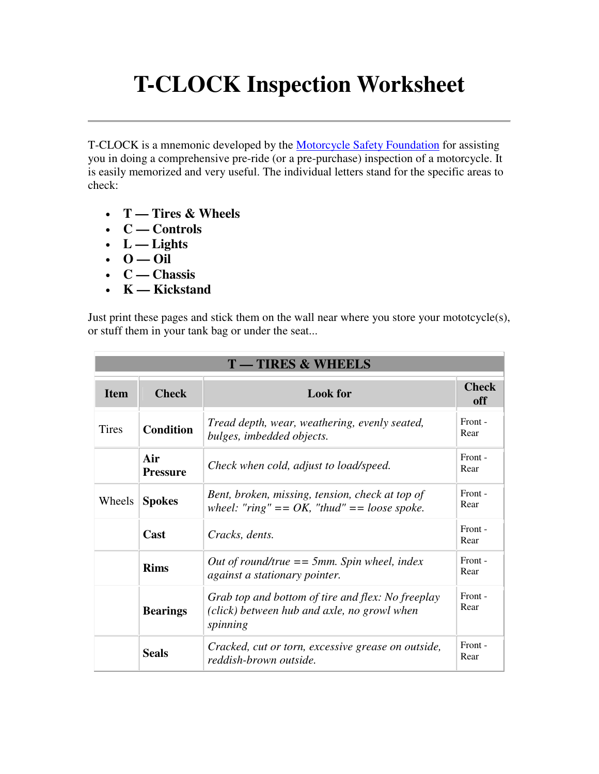## **T-CLOCK Inspection Worksheet**

T-CLOCK is a mnemonic developed by the Motorcycle Safety Foundation for assisting you in doing a comprehensive pre-ride (or a pre-purchase) inspection of a motorcycle. It is easily memorized and very useful. The individual letters stand for the specific areas to check:

- **T Tires & Wheels**
- **C Controls**
- $\cdot$  L Lights
- $\cdot$  0 Oil
- **C Chassis**
- **K Kickstand**

Just print these pages and stick them on the wall near where you store your mototcycle(s), or stuff them in your tank bag or under the seat...

| <b>T-TIRES &amp; WHEELS</b> |                        |                                                                                                              |                     |
|-----------------------------|------------------------|--------------------------------------------------------------------------------------------------------------|---------------------|
| <b>Item</b>                 | <b>Check</b>           | <b>Look</b> for                                                                                              | <b>Check</b><br>off |
| <b>Tires</b>                | <b>Condition</b>       | Tread depth, wear, weathering, evenly seated,<br>bulges, imbedded objects.                                   | Front -<br>Rear     |
|                             | Air<br><b>Pressure</b> | Check when cold, adjust to load/speed.                                                                       | Front -<br>Rear     |
| Wheels                      | <b>Spokes</b>          | Bent, broken, missing, tension, check at top of<br>wheel: "ring" == $OK$ , "thud" == loose spoke.            | Front -<br>Rear     |
|                             | Cast                   | Cracks, dents.                                                                                               | Front -<br>Rear     |
|                             | <b>Rims</b>            | Out of round/true $== 5mm$ . Spin wheel, index<br>against a stationary pointer.                              | Front -<br>Rear     |
|                             | <b>Bearings</b>        | Grab top and bottom of tire and flex: No freeplay<br>(click) between hub and axle, no growl when<br>spinning | Front -<br>Rear     |
|                             | <b>Seals</b>           | Cracked, cut or torn, excessive grease on outside,<br>reddish-brown outside.                                 | Front -<br>Rear     |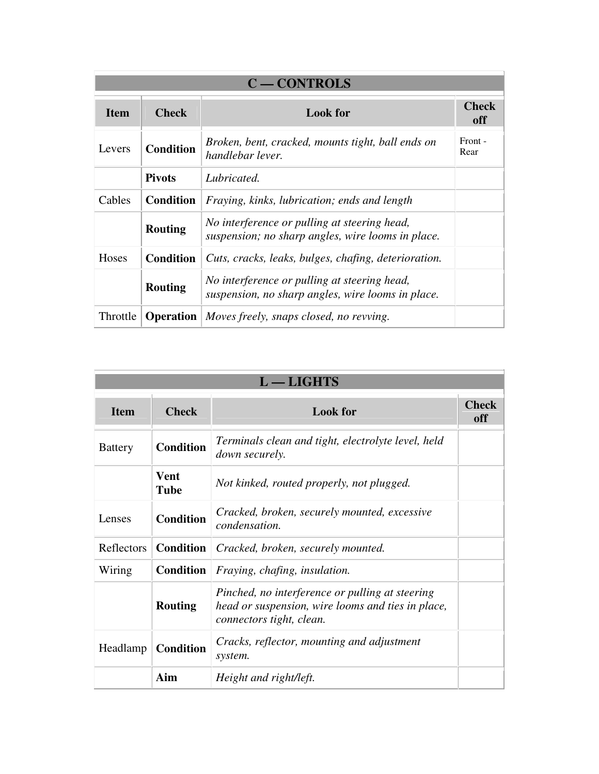| <b>C-CONTROLS</b> |                                 |                                                                                                   |                     |
|-------------------|---------------------------------|---------------------------------------------------------------------------------------------------|---------------------|
| <b>Item</b>       | <b>Check</b><br><b>Look</b> for |                                                                                                   | <b>Check</b><br>off |
| Levers            | <b>Condition</b>                | Broken, bent, cracked, mounts tight, ball ends on<br>handlebar lever.                             | Front -<br>Rear     |
|                   | <b>Pivots</b>                   | Lubricated.                                                                                       |                     |
| Cables            | <b>Condition</b>                | Fraying, kinks, lubrication; ends and length                                                      |                     |
|                   | <b>Routing</b>                  | No interference or pulling at steering head,<br>suspension; no sharp angles, wire looms in place. |                     |
| Hoses             | <b>Condition</b>                | Cuts, cracks, leaks, bulges, chafing, deterioration.                                              |                     |
|                   | <b>Routing</b>                  | No interference or pulling at steering head,<br>suspension, no sharp angles, wire looms in place. |                     |
| Throttle          | <b>Operation</b>                | Moves freely, snaps closed, no revving.                                                           |                     |

| $L - LIGHTS$   |                     |                                                                                                                                  |                     |
|----------------|---------------------|----------------------------------------------------------------------------------------------------------------------------------|---------------------|
| <b>Item</b>    | <b>Check</b>        | <b>Look</b> for                                                                                                                  | <b>Check</b><br>off |
| <b>Battery</b> | <b>Condition</b>    | Terminals clean and tight, electrolyte level, held<br><i>down securely.</i>                                                      |                     |
|                | <b>Vent</b><br>Tube | Not kinked, routed properly, not plugged.                                                                                        |                     |
| Lenses         | <b>Condition</b>    | Cracked, broken, securely mounted, excessive<br><i>condensation.</i>                                                             |                     |
| Reflectors     | <b>Condition</b>    | Cracked, broken, securely mounted.                                                                                               |                     |
| Wiring         | <b>Condition</b>    | Fraying, chafing, insulation.                                                                                                    |                     |
|                | <b>Routing</b>      | Pinched, no interference or pulling at steering<br>head or suspension, wire looms and ties in place,<br>connectors tight, clean. |                     |
| Headlamp       | <b>Condition</b>    | Cracks, reflector, mounting and adjustment<br>system.                                                                            |                     |
|                | Aim                 | Height and right/left.                                                                                                           |                     |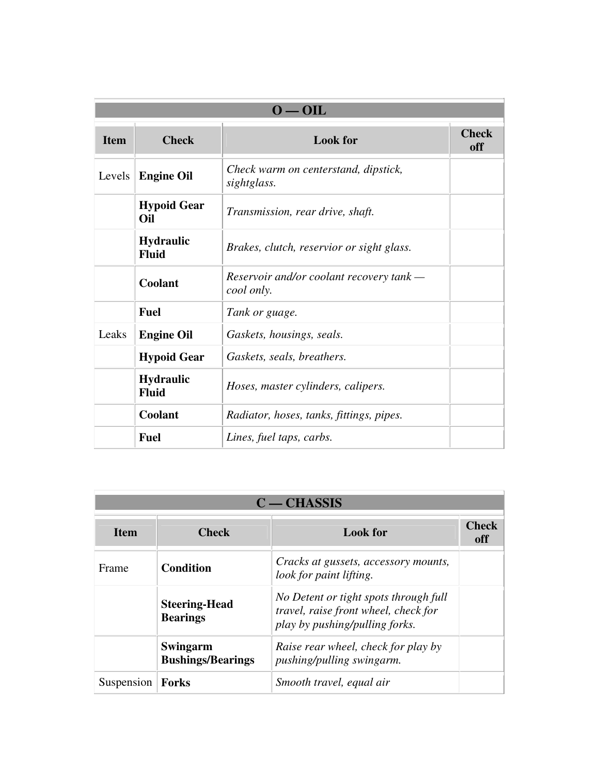| $0 - 0$ IL  |                                  |                                                        |                     |
|-------------|----------------------------------|--------------------------------------------------------|---------------------|
| <b>Item</b> | <b>Check</b>                     | <b>Look</b> for                                        | <b>Check</b><br>off |
| Levels      | <b>Engine Oil</b>                | Check warm on centerstand, dipstick,<br>sightglass.    |                     |
|             | <b>Hypoid Gear</b><br>Oil        | Transmission, rear drive, shaft.                       |                     |
|             | <b>Hydraulic</b><br><b>Fluid</b> | Brakes, clutch, reservior or sight glass.              |                     |
|             | Coolant                          | Reservoir and/or coolant recovery tank —<br>cool only. |                     |
|             | <b>Fuel</b>                      | Tank or guage.                                         |                     |
| Leaks       | <b>Engine Oil</b>                | Gaskets, housings, seals.                              |                     |
|             | <b>Hypoid Gear</b>               | Gaskets, seals, breathers.                             |                     |
|             | <b>Hydraulic</b><br>Fluid        | Hoses, master cylinders, calipers.                     |                     |
|             | Coolant                          | Radiator, hoses, tanks, fittings, pipes.               |                     |
|             | <b>Fuel</b>                      | Lines, fuel taps, carbs.                               |                     |

| $C - CHASSIS$ |                                         |                                                                                                                 |                     |
|---------------|-----------------------------------------|-----------------------------------------------------------------------------------------------------------------|---------------------|
| <b>Item</b>   | <b>Check</b>                            | <b>Look</b> for                                                                                                 | <b>Check</b><br>off |
| Frame         | <b>Condition</b>                        | Cracks at gussets, accessory mounts,<br>look for paint lifting.                                                 |                     |
|               | <b>Steering-Head</b><br><b>Bearings</b> | No Detent or tight spots through full<br>travel, raise front wheel, check for<br>play by pushing/pulling forks. |                     |
|               | Swingarm<br><b>Bushings/Bearings</b>    | Raise rear wheel, check for play by<br><i>pushing/pulling swingarm.</i>                                         |                     |
| Suspension    | <b>Forks</b>                            | Smooth travel, equal air                                                                                        |                     |